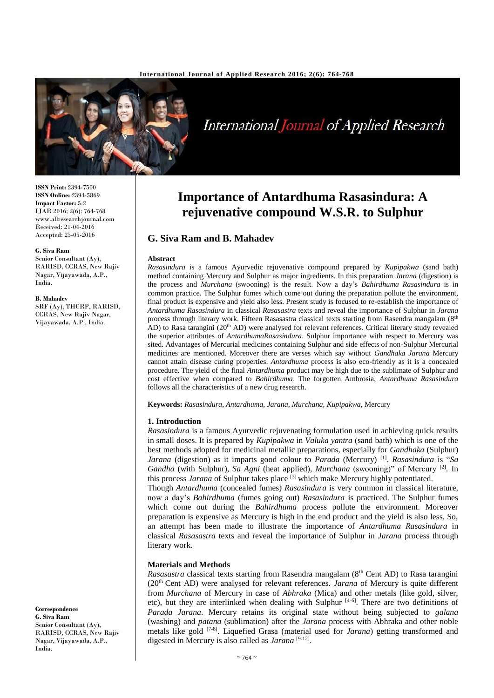

**ISSN Print:** 2394-7500 **ISSN Online:** 2394-5869 **Impact Factor:** 5.2 IJAR 2016; 2(6): 764-768 www.allresearchjournal.com Received: 21-04-2016 Accepted: 25-05-2016

#### **G. Siva Ram**

Senior Consultant (Ay), RARISD, CCRAS, New Rajiv Nagar, Vijayawada, A.P., India.

#### **B. Mahadev**

SRF (Ay), THCRP, RARISD, CCRAS, New Rajiv Nagar, Vijayawada, A.P., India.

**Correspondence**

**G. Siva Ram** Senior Consultant (Ay), RARISD, CCRAS, New Rajiv Nagar, Vijayawada, A.P., India.

## **Importance of Antardhuma Rasasindura: A rejuvenative compound W.S.R. to Sulphur**

## **G. Siva Ram and B. Mahadev**

#### **Abstract**

*Rasasindura* is a famous Ayurvedic rejuvenative compound prepared by *Kupipakwa* (sand bath) method containing Mercury and Sulphur as major ingredients. In this preparation *Jarana* (digestion) is the process and *Murchana* (swooning) is the result. Now a day's *Bahirdhuma Rasasindura* is in common practice. The Sulphur fumes which come out during the preparation pollute the environment, final product is expensive and yield also less. Present study is focused to re-establish the importance of *Antardhuma Rasasindura* in classical *Rasasastra* texts and reveal the importance of Sulphur in *Jarana*  process through literary work. Fifteen Rasasastra classical texts starting from Rasendra mangalam (8th AD) to Rasa tarangini (20<sup>th</sup> AD) were analysed for relevant references. Critical literary study revealed the superior attributes of *AntardhumaRasasindura*. Sulphur importance with respect to Mercury was sited. Advantages of Mercurial medicines containing Sulphur and side effects of non-Sulphur Mercurial medicines are mentioned. Moreover there are verses which say without *Gandhaka Jarana* Mercury cannot attain disease curing properties. *Antardhuma* process is also eco-friendly as it is a concealed procedure. The yield of the final *Antardhuma* product may be high due to the sublimate of Sulphur and cost effective when compared to *Bahirdhuma*. The forgotten Ambrosia, *Antardhuma Rasasindura*  follows all the characteristics of a new drug research.

**Keywords:** *Rasasindura*, *Antardhuma*, *Jarana*, *Murchana*, *Kupipakwa*, Mercury

#### **1. Introduction**

*Rasasindura* is a famous Ayurvedic rejuvenating formulation used in achieving quick results in small doses. It is prepared by *Kupipakwa* in *Valuka yantra* (sand bath) which is one of the best methods adopted for medicinal metallic preparations, especially for *Gandhaka* (Sulphur) *Jarana* (digestion) as it imparts good colour to *Parada* (Mercury) [1] . *Rasasindura* is "*Sa Gandha* (with Sulphur)*, Sa Agni* (heat applied)*, Murchana* (swooning)" of Mercury [2] . In this process *Jarana* of Sulphur takes place <sup>[3]</sup> which make Mercury highly potentiated.

Though *Antardhuma* (concealed fumes) *Rasasindura* is very common in classical literature, now a day's *Bahirdhuma* (fumes going out) *Rasasindura* is practiced. The Sulphur fumes which come out during the *Bahirdhuma* process pollute the environment. Moreover preparation is expensive as Mercury is high in the end product and the yield is also less. So, an attempt has been made to illustrate the importance of *Antardhuma Rasasindura* in classical *Rasasastra* texts and reveal the importance of Sulphur in *Jarana* process through literary work.

#### **Materials and Methods**

*Rasasastra* classical texts starting from Rasendra mangalam (8<sup>th</sup> Cent AD) to Rasa tarangini (20th Cent AD) were analysed for relevant references. *Jarana* of Mercury is quite different from *Murchana* of Mercury in case of *Abhraka* (Mica) and other metals (like gold, silver, etc), but they are interlinked when dealing with Sulphur<sup>[4-6]</sup>. There are two definitions of *Parada Jarana*. Mercury retains its original state without being subjected to *galana* (washing) and *patana* (sublimation) after the *Jarana* process with Abhraka and other noble metals like gold [7-8] . Liquefied Grasa (material used for *Jarana*) getting transformed and digested in Mercury is also called as *Jarana* [9-12].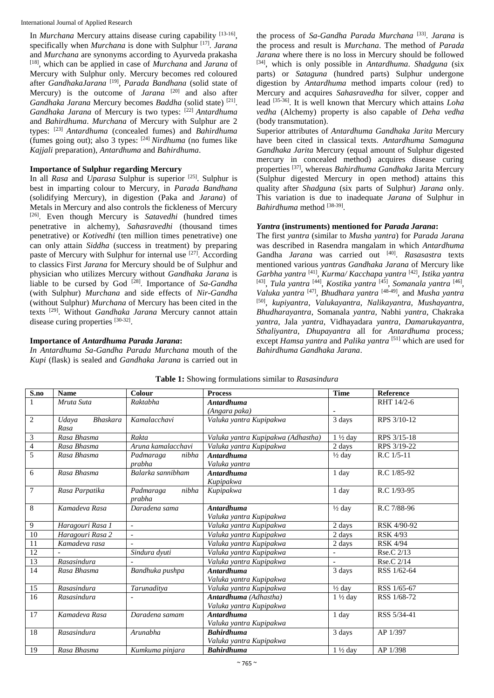In *Murchana* Mercury attains disease curing capability [13-16], specifically when *Murchana* is done with Sulphur<sup>[17]</sup>. Jarana and *Murchana* are synonyms according to Ayurveda prakasha [18] , which can be applied in case of *Murchana* and *Jarana* of Mercury with Sulphur only. Mercury becomes red coloured after *GandhakaJarana* [19] , *Parada Bandhana* (solid state of Mercury) is the outcome of *Jarana*<sup>[20]</sup> and also after *Gandhaka Jarana* Mercury becomes *Baddha* (solid state) [21] . *Gandhaka Jarana* of Mercury is two types: [22] *Antardhuma* and *Bahirdhuma*. *Murchana* of Mercury with Sulphur are 2 types: [23] *Antardhuma* (concealed fumes) and *Bahirdhuma*  (fumes going out); also 3 types: [24] *Nirdhuma* (no fumes like *Kajjali* preparation), *Antardhuma* and *Bahirdhuma*.

## **Importance of Sulphur regarding Mercury**

In all *Rasa* and *Uparasa* Sulphur is superior [25] . Sulphur is best in imparting colour to Mercury, in *Parada Bandhana* (solidifying Mercury), in digestion (Paka and *Jarana*) of Metals in Mercury and also controls the fickleness of Mercury [26] . Even though Mercury is *Satavedhi* (hundred times penetrative in alchemy), *Sahasravedhi* (thousand times penetrative) or *Kotivedhi* (ten million times penetrative) one can only attain *Siddha* (success in treatment) by preparing paste of Mercury with Sulphur for internal use <sup>[27]</sup>. According to classics First *Jarana* for Mercury should be of Sulphur and physician who utilizes Mercury without *Gandhaka Jarana* is liable to be cursed by God <sup>[28]</sup>. Importance of Sa-Gandha (with Sulphur) *Murchana* and side effects of *Nir-Gandha* (without Sulphur) *Murchana* of Mercury has been cited in the texts [29] . Without *Gandhaka Jarana* Mercury cannot attain disease curing properties [30-32].

## **Importance of** *Antardhuma Parada Jarana***:**

*In Antardhuma Sa-Gandha Parada Murchana* mouth of the *Kupi* (flask) is sealed and *Gandhaka Jarana* is carried out in

the process of *Sa-Gandha Parada Murchana* [33] . *Jarana* is the process and result is *Murchana*. The method of *Parada Jarana* where there is no loss in Mercury should be followed [34] , which is only possible in *Antardhuma*. *Shadguna* (six parts) or *Sataguna* (hundred parts) Sulphur undergone digestion by *Antardhuma* method imparts colour (red) to Mercury and acquires *Sahasravedha* for silver, copper and lead [35-36] . It is well known that Mercury which attains *Loha vedha* (Alchemy) property is also capable of *Deha vedha* (body transmutation).

Superior attributes of *Antardhuma Gandhaka Jarita* Mercury have been cited in classical texts. *Antardhuma Samaguna Gandhaka Jarita* Mercury (equal amount of Sulphur digested mercury in concealed method) acquires disease curing properties [37] , whereas *Bahirdhuma Gandhaka* Jarita Mercury (Sulphur digested Mercury in open method) attains this quality after *Shadguna* (six parts of Sulphur) *Jarana* only. This variation is due to inadequate *Jarana* of Sulphur in Bahirdhuma method [38-39].

## *Yantra* **(instruments) mentioned for** *Parada Jarana***:**

The first *yantra* (similar to *Musha yantra*) for *Parada Jarana* was described in Rasendra mangalam in which *Antardhuma* Gandha *Jarana* was carried out [40] . *Rasasastra* texts mentioned various *yantra*s *Gandhaka Jarana* of Mercury like *Garbha yantra* [41] , *Kurma/ Kacchapa yantra* [42] , *Istika yantra* <sup>[43]</sup>, *Tula yantra* <sup>[44]</sup>, *Kostika yantra* <sup>[45]</sup>, *Somanala yantra* <sup>[46]</sup>, *Valuka yantra* [47] , *Bhudhara yantra* [48-49] , and *Musha yantra* [50] , *kupiyantra*, *Valukayantra*, *Nalikayantra*, *Mushayantra*, *Bhudharayantra*, Somanala *yantra*, Nabhi *yantra*, Chakraka *yantra*, Jala *yantra*, Vidhayadara *yantra*, *Damarukayantra*, *Sthaliyantra*, *Dhupayantra* all for *Antardhuma* process*;* except *Hamsa yantra* and *Palika yantra* [51] which are used for *Bahirdhuma Gandhaka Jarana*.

| <b>Tuble 1.</b> Dhowing formulations shinkle to religionant |                          |                          |                                    |                    |                  |  |  |  |
|-------------------------------------------------------------|--------------------------|--------------------------|------------------------------------|--------------------|------------------|--|--|--|
| S.no                                                        | <b>Name</b>              | Colour                   | <b>Process</b>                     | <b>Time</b>        | <b>Reference</b> |  |  |  |
| $\mathbf{1}$                                                | Mruta Suta               | Raktabha                 | <b>Antardhuma</b>                  |                    | RHT 14/2-6       |  |  |  |
|                                                             |                          |                          | (Angara paka)                      |                    |                  |  |  |  |
| 2                                                           | <b>Bhaskara</b><br>Udaya | Kamalacchavi             | Valuka yantra Kupipakwa            | 3 days             | RPS 3/10-12      |  |  |  |
|                                                             | Rasa                     |                          |                                    |                    |                  |  |  |  |
| 3                                                           | Rasa Bhasma              | Rakta                    | Valuka yantra Kupipakwa (Adhastha) | $1\frac{1}{2}$ day | RPS 3/15-18      |  |  |  |
| $\overline{4}$                                              | Rasa Bhasma              | Aruna kamalacchavi       | Valuka yantra Kupipakwa            | 2 days             | RPS 3/19-22      |  |  |  |
| $\overline{5}$                                              | Rasa Bhasma              | Padmaraga<br>nibha       | <b>Antardhuma</b>                  | $\frac{1}{2}$ day  | $R.C$ 1/5-11     |  |  |  |
|                                                             |                          | prabha                   | Valuka vantra                      |                    |                  |  |  |  |
| 6                                                           | Rasa Bhasma              | Balarka sannibham        | <b>Antardhuma</b>                  | 1 day              | R.C 1/85-92      |  |  |  |
|                                                             |                          |                          | Kupipakwa                          |                    |                  |  |  |  |
| $\overline{7}$                                              | Rasa Parpatika           | Padmaraga<br>nibha       | Kupipakwa                          | 1 day              | R.C 1/93-95      |  |  |  |
|                                                             |                          | prabha                   |                                    |                    |                  |  |  |  |
| 8                                                           | Kamadeva Rasa            | Daradena sama            | <b>Antardhuma</b>                  | $\frac{1}{2}$ day  | R.C 7/88-96      |  |  |  |
|                                                             |                          |                          | Valuka yantra Kupipakwa            |                    |                  |  |  |  |
| 9                                                           | Haragouri Rasa 1         | $\overline{\phantom{a}}$ | Valuka yantra Kupipakwa            | 2 days             | RSK 4/90-92      |  |  |  |
| 10                                                          | Haragouri Rasa 2         | $\overline{a}$           | Valuka yantra Kupipakwa            | 2 days             | <b>RSK 4/93</b>  |  |  |  |
| $\overline{11}$                                             | Kamadeva rasa            |                          | Valuka yantra Kupipakwa            | 2 days             | <b>RSK 4/94</b>  |  |  |  |
| 12                                                          |                          | Sindura dvuti            | Valuka yantra Kupipakwa            |                    | Rse.C 2/13       |  |  |  |
| $\overline{13}$                                             | Rasasindura              |                          | Valuka yantra Kupipakwa            |                    | Rse.C 2/14       |  |  |  |
| 14                                                          | Rasa Bhasma              | Bandhuka pushpa          | <b>Antardhuma</b>                  | 3 days             | RSS 1/62-64      |  |  |  |
|                                                             |                          |                          | Valuka yantra Kupipakwa            |                    |                  |  |  |  |
| 15                                                          | Rasasindura              | Tarunaditya              | Valuka yantra Kupipakwa            | $\frac{1}{2}$ day  | RSS 1/65-67      |  |  |  |
| 16                                                          | Rasasindura              |                          | Antardhuma (Adhastha)              | $1\frac{1}{2}$ day | RSS 1/68-72      |  |  |  |
|                                                             |                          |                          | Valuka yantra Kupipakwa            |                    |                  |  |  |  |
| 17                                                          | Kamadeva Rasa            | Daradena samam           | <b>Antardhuma</b>                  | 1 day              | RSS 5/34-41      |  |  |  |
|                                                             |                          |                          | Valuka yantra Kupipakwa            |                    |                  |  |  |  |
| 18                                                          | Rasasindura              | Arunabha                 | <b>Bahirdhuma</b>                  | 3 days             | AP 1/397         |  |  |  |
|                                                             |                          |                          | Valuka yantra Kupipakwa            |                    |                  |  |  |  |
| 19                                                          | Rasa Bhasma              | Kumkuma pinjara          | <b>Bahirdhuma</b>                  | $1\frac{1}{2}$ day | AP 1/398         |  |  |  |

**Table 1:** Showing formulations similar to *Rasasindura*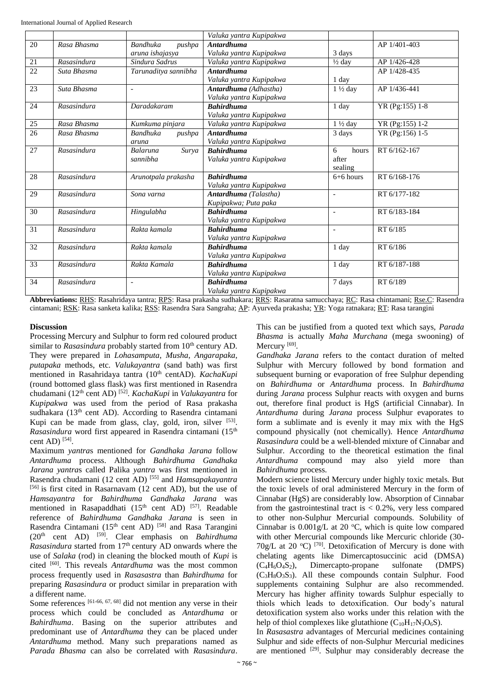|                 |             |                           | Valuka yantra Kupipakwa |                    |                 |
|-----------------|-------------|---------------------------|-------------------------|--------------------|-----------------|
| 20              | Rasa Bhasma | <b>Bandhuka</b><br>pushpa | <b>Antardhuma</b>       |                    | AP 1/401-403    |
|                 |             | aruna ishajasya           | Valuka yantra Kupipakwa | 3 days             |                 |
| 21              | Rasasindura | Sindura Sadrus            | Valuka yantra Kupipakwa | $\frac{1}{2}$ day  | AP 1/426-428    |
| 22              | Suta Bhasma | Tarunaditya sannibha      | <b>Antardhuma</b>       |                    | AP 1/428-435    |
|                 |             |                           | Valuka yantra Kupipakwa | 1 day              |                 |
| 23              | Suta Bhasma | ÷,                        | Antardhuma (Adhastha)   | $1\frac{1}{2}$ day | AP 1/436-441    |
|                 |             |                           | Valuka yantra Kupipakwa |                    |                 |
| 24              | Rasasindura | Daradakaram               | <b>Bahirdhuma</b>       | 1 day              | YR (Pg:155) 1-8 |
|                 |             |                           | Valuka yantra Kupipakwa |                    |                 |
| 25              | Rasa Bhasma | Kumkuma pinjara           | Valuka yantra Kupipakwa | $1\frac{1}{2}$ day | YR (Pg:155) 1-2 |
| $\overline{26}$ | Rasa Bhasma | <b>Bandhuka</b><br>pushpa | <b>Antardhuma</b>       | 3 days             | YR (Pg:156) 1-5 |
|                 |             | aruna                     | Valuka yantra Kupipakwa |                    |                 |
| 27              | Rasasindura | Surya<br><b>Balaruna</b>  | <b>Bahirdhuma</b>       | 6<br>hours         | RT 6/162-167    |
|                 |             | sannibha                  | Valuka yantra Kupipakwa | after              |                 |
|                 |             |                           |                         | sealing            |                 |
| 28              | Rasasindura | Arunotpala prakasha       | <b>Bahirdhuma</b>       | $6+6$ hours        | RT 6/168-176    |
|                 |             |                           | Valuka yantra Kupipakwa |                    |                 |
| 29              | Rasasindura | Sona varna                | Antardhuma (Talastha)   | $\overline{a}$     | RT 6/177-182    |
|                 |             |                           | Kupipakwa; Puta paka    |                    |                 |
| 30              | Rasasindura | Hingulabha                | <b>Bahirdhuma</b>       | $\overline{a}$     | RT 6/183-184    |
|                 |             |                           | Valuka yantra Kupipakwa |                    |                 |
| 31              | Rasasindura | Rakta kamala              | <b>Bahirdhuma</b>       | $\blacksquare$     | RT 6/185        |
|                 |             |                           | Valuka yantra Kupipakwa |                    |                 |
| 32              | Rasasindura | Rakta kamala              | <b>Bahirdhuma</b>       | 1 day              | RT 6/186        |
|                 |             |                           | Valuka yantra Kupipakwa |                    |                 |
| 33              | Rasasindura | Rakta Kamala              | <b>Bahirdhuma</b>       | 1 day              | RT 6/187-188    |
|                 |             |                           | Valuka yantra Kupipakwa |                    |                 |
| 34              | Rasasindura | ÷,                        | <b>Bahirdhuma</b>       | 7 days             | RT 6/189        |
|                 |             |                           | Valuka yantra Kupipakwa |                    |                 |

**Abbreviations:** RHS: Rasahridaya tantra; RPS: Rasa prakasha sudhakara; RRS: Rasaratna samucchaya; RC: Rasa chintamani; Rse.C: Rasendra cintamani; RSK: Rasa sanketa kalika; RSS: Rasendra Sara Sangraha; AP: Ayurveda prakasha; YR: Yoga ratnakara; RT: Rasa tarangini

## **Discussion**

Processing Mercury and Sulphur to form red coloured product similar to *Rasasindura* probably started from 10<sup>th</sup> century AD. They were prepared in *Lohasamputa*, *Musha*, *Angarapaka*, *putapaka* methods, etc. *Valukayantra* (sand bath) was first mentioned in Rasahridaya tantra (10<sup>th</sup> centAD). *KachaKupi* (round bottomed glass flask) was first mentioned in Rasendra chudamani (12th cent AD) [52] . *KachaKupi* in *Valukayantra* for *Kupipakwa* was used from the period of Rasa prakasha sudhakara (13<sup>th</sup> cent AD). According to Rasendra cintamani Kupi can be made from glass, clay, gold, iron, silver [53]. *Rasasindura* word first appeared in Rasendra cintamani (15<sup>th</sup>) cent AD)  $^{[54]}$ .

Maximum *yantra*s mentioned for *Gandhaka Jarana* follow *Antardhuma* process. Although *Bahirdhuma Gandhaka Jarana yantra*s called Palika *yantra* was first mentioned in Rasendra chudamani (12 cent AD) [55] and *Hamsapakayantra* [56] is first cited in Rasarnavam (12 cent AD), but the use of *Hamsayantra* for *Bahirdhuma Gandhaka Jarana* was mentioned in Rasapaddhati (15<sup>th</sup> cent AD)<sup>[57]</sup>. Readable reference of *Bahirdhuma Gandhaka Jarana* is seen in Rasendra Cintamani (15<sup>th</sup> cent AD)<sup>[58]</sup> and Rasa Tarangini (20th cent AD) [59] . Clear emphasis on *Bahirdhuma Rasasindura* started from 17<sup>th</sup> century AD onwards where the use of *Salaka* (rod) in cleaning the blocked mouth of *Kupi* is cited <sup>[60]</sup>. This reveals *Antardhuma* was the most common process frequently used in *Rasasastra* than *Bahirdhuma* for preparing *Rasasindura* or product similar in preparation with a different name.

Some references [61-66, 67, 68] did not mention any verse in their process which could be concluded as *Antardhuma* or *Bahirdhuma*. Basing on the superior attributes and predominant use of *Antardhuma* they can be placed under *Antardhuma* method. Many such preparations named as *Parada Bhasma* can also be correlated with *Rasasindura*.

This can be justified from a quoted text which says, *Parada Bhasma* is actually *Maha Murchana* (mega swooning) of Mercury<sup>[69]</sup>.

*Gandhaka Jarana* refers to the contact duration of melted Sulphur with Mercury followed by bond formation and subsequent burning or evaporation of free Sulphur depending on *Bahirdhuma* or *Antardhuma* process. In *Bahirdhuma*  during *Jarana* process Sulphur reacts with oxygen and burns out, therefore final product is HgS (artificial Cinnabar). In *Antardhuma* during *Jarana* process Sulphur evaporates to form a sublimate and is evenly it may mix with the HgS compound physically (not chemically). Hence *Antardhuma Rasasindura* could be a well-blended mixture of Cinnabar and Sulphur. According to the theoretical estimation the final *Antardhuma* compound may also yield more than *Bahirdhuma* process.

Modern science listed Mercury under highly toxic metals. But the toxic levels of oral administered Mercury in the form of Cinnabar (HgS) are considerably low. Absorption of Cinnabar from the gastrointestinal tract is  $< 0.2\%$ , very less compared to other non-Sulphur Mercurial compounds. Solubility of Cinnabar is  $0.001g/L$  at 20 °C, which is quite low compared with other Mercurial compounds like Mercuric chloride (30- 70g/L at 20 °C)  $[70]$ . Detoxification of Mercury is done with chelating agents like Dimercaptosuccinic acid (DMSA)  $(C_4H_6O_4S_2)$ , Dimercapto-propane sulfonate (DMPS)  $(C_3H_8O_3S_3)$ . All these compounds contain Sulphur. Food supplements containing Sulphur are also recommended. Mercury has higher affinity towards Sulphur especially to thiols which leads to detoxification. Our body's natural detoxification system also works under this relation with the help of thiol complexes like glutathione  $(C_{10}H_{17}N_3O_6S)$ .

In *Rasasastra* advantages of Mercurial medicines containing Sulphur and side effects of non-Sulphur Mercurial medicines are mentioned <sup>[29]</sup>. Sulphur may considerably decrease the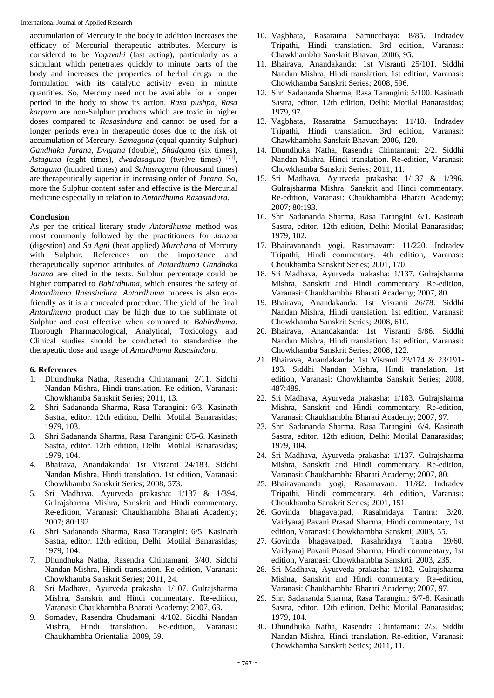accumulation of Mercury in the body in addition increases the efficacy of Mercurial therapeutic attributes. Mercury is considered to be *Yogavahi* (fast acting), particularly as a stimulant which penetrates quickly to minute parts of the body and increases the properties of herbal drugs in the formulation with its catalytic activity even in minute quantities. So, Mercury need not be available for a longer period in the body to show its action. *Rasa pushpa*, *Rasa karpura* are non-Sulphur products which are toxic in higher doses compared to *Rasasindura* and cannot be used for a longer periods even in therapeutic doses due to the risk of accumulation of Mercury. *Samaguna* (equal quantity Sulphur) *Gandhaka Jarana, Dviguna* (double), *Shadguna* (six times), *Astaguna* (eight times), *dwadasaguna* (twelve times) [71] , *Sataguna* (hundred times) and *Sahasraguna* (thousand times) are therapeutically superior in increasing order of *Jarana*. So, more the Sulphur content safer and effective is the Mercurial medicine especially in relation to *Antardhuma Rasasindura.*

## **Conclusion**

As per the critical literary study *Antardhuma* method was most commonly followed by the practitioners for *Jarana*  (digestion) and *Sa Agni* (heat applied) *Murchana* of Mercury with Sulphur. References on the importance and therapeutically superior attributes of *Antardhuma Gandhaka Jarana* are cited in the texts. Sulphur percentage could be higher compared to *Bahirdhuma*, which ensures the safety of *Antardhuma Rasasindura*. *Antardhuma* process is also ecofriendly as it is a concealed procedure. The yield of the final *Antardhuma* product may be high due to the sublimate of Sulphur and cost effective when compared to *Bahirdhuma*. Thorough Pharmacological, Analytical, Toxicology and Clinical studies should be conducted to standardise the therapeutic dose and usage of *Antardhuma Rasasindura*.

## **6. References**

- 1. Dhundhuka Natha, Rasendra Chintamani: 2/11. Siddhi Nandan Mishra, Hindi translation. Re-edition, Varanasi: Chowkhamba Sanskrit Series; 2011, 13.
- 2. Shri Sadananda Sharma, Rasa Tarangini: 6/3. Kasinath Sastra, editor. 12th edition, Delhi: Motilal Banarasidas; 1979, 103.
- 3. Shri Sadananda Sharma, Rasa Tarangini: 6/5-6. Kasinath Sastra, editor. 12th edition, Delhi: Motilal Banarasidas; 1979, 104.
- 4. Bhairava, Anandakanda: 1st Visranti 24/183. Siddhi Nandan Mishra, Hindi translation. 1st edition, Varanasi: Chowkhamba Sanskrit Series; 2008, 573.
- 5. Sri Madhava, Ayurveda prakasha: 1/137 & 1/394. Gulrajsharma Mishra, Sanskrit and Hindi commentary. Re-edition, Varanasi: Chaukhambha Bharati Academy; 2007; 80:192.
- 6. Shri Sadananda Sharma, Rasa Tarangini: 6/5. Kasinath Sastra, editor. 12th edition, Delhi: Motilal Banarasidas; 1979, 104.
- 7. Dhundhuka Natha, Rasendra Chintamani: 3/40. Siddhi Nandan Mishra, Hindi translation. Re-edition, Varanasi: Chowkhamba Sanskrit Series; 2011, 24.
- 8. Sri Madhava, Ayurveda prakasha: 1/107. Gulrajsharma Mishra, Sanskrit and Hindi commentary. Re-edition, Varanasi: Chaukhambha Bharati Academy; 2007, 63.
- 9. Somadev, Rasendra Chudamani: 4/102. Siddhi Nandan Mishra, Hindi translation. Re-edition, Varanasi: Chaukhambha Orientalia; 2009, 59.
- 10. Vagbhata, Rasaratna Samucchaya: 8/85. Indradev Tripathi, Hindi translation. 3rd edition, Varanasi: Chawkhambha Sanskrit Bhavan; 2006, 95.
- 11. Bhairava, Anandakanda: 1st Visranti 25/101. Siddhi Nandan Mishra, Hindi translation. 1st edition, Varanasi: Chowkhamba Sanskrit Series; 2008, 596.
- 12. Shri Sadananda Sharma, Rasa Tarangini: 5/100. Kasinath Sastra, editor. 12th edition, Delhi: Motilal Banarasidas; 1979, 97.
- 13. Vagbhata, Rasaratna Samucchaya: 11/18. Indradev Tripathi, Hindi translation. 3rd edition, Varanasi: Chawkhambha Sanskrit Bhavan; 2006, 120.
- 14. Dhundhuka Natha, Rasendra Chintamani: 2/2. Siddhi Nandan Mishra, Hindi translation. Re-edition, Varanasi: Chowkhamba Sanskrit Series; 2011, 11.
- 15. Sri Madhava, Ayurveda prakasha: 1/137 & 1/396. Gulrajsharma Mishra, Sanskrit and Hindi commentary. Re-edition, Varanasi: Chaukhambha Bharati Academy; 2007; 80:193.
- 16. Shri Sadananda Sharma, Rasa Tarangini: 6/1. Kasinath Sastra, editor. 12th edition, Delhi: Motilal Banarasidas; 1979, 102.
- 17. Bhairavananda yogi, Rasarnavam: 11/220. Indradev Tripathi, Hindi commentary. 4th edition, Varanasi: Choukhamba Sanskrit Series; 2001, 170.
- 18. Sri Madhava, Ayurveda prakasha: 1/137. Gulrajsharma Mishra, Sanskrit and Hindi commentary. Re-edition, Varanasi: Chaukhambha Bharati Academy; 2007, 80.
- 19. Bhairava, Anandakanda: 1st Visranti 26/78. Siddhi Nandan Mishra, Hindi translation. 1st edition, Varanasi: Chowkhamba Sanskrit Series; 2008, 610.
- 20. Bhairava, Anandakanda: 1st Visranti 5/86. Siddhi Nandan Mishra, Hindi translation. 1st edition, Varanasi: Chowkhamba Sanskrit Series; 2008, 122.
- 21. Bhairava, Anandakanda: 1st Visranti 23/174 & 23/191- 193. Siddhi Nandan Mishra, Hindi translation. 1st edition, Varanasi: Chowkhamba Sanskrit Series; 2008, 487:489.
- 22. Sri Madhava, Ayurveda prakasha: 1/183. Gulrajsharma Mishra, Sanskrit and Hindi commentary. Re-edition, Varanasi: Chaukhambha Bharati Academy; 2007, 97.
- 23. Shri Sadananda Sharma, Rasa Tarangini: 6/4. Kasinath Sastra, editor. 12th edition, Delhi: Motilal Banarasidas; 1979, 104.
- 24. Sri Madhava, Ayurveda prakasha: 1/137. Gulrajsharma Mishra, Sanskrit and Hindi commentary. Re-edition, Varanasi: Chaukhambha Bharati Academy; 2007, 80.
- 25. Bhairavananda yogi, Rasarnavam: 11/82. Indradev Tripathi, Hindi commentary. 4th edition, Varanasi: Choukhamba Sanskrit Series; 2001, 151.
- 26. Govinda bhagavatpad, Rasahridaya Tantra: 3/20. Vaidyaraj Pavani Prasad Sharma, Hindi commentary, 1st edition, Varanasi: Chowkhambha Sanskrti; 2003, 55.
- 27. Govinda bhagavatpad, Rasahridaya Tantra: 19/60. Vaidyaraj Pavani Prasad Sharma, Hindi commentary, 1st edition, Varanasi: Chowkhambha Sanskrti; 2003, 235.
- 28. Sri Madhava, Ayurveda prakasha: 1/182. Gulrajsharma Mishra, Sanskrit and Hindi commentary. Re-edition, Varanasi: Chaukhambha Bharati Academy; 2007, 97.
- 29. Shri Sadananda Sharma, Rasa Tarangini: 6/7-8. Kasinath Sastra, editor. 12th edition, Delhi: Motilal Banarasidas; 1979, 104.
- 30. Dhundhuka Natha, Rasendra Chintamani: 2/5. Siddhi Nandan Mishra, Hindi translation. Re-edition, Varanasi: Chowkhamba Sanskrit Series; 2011, 11.